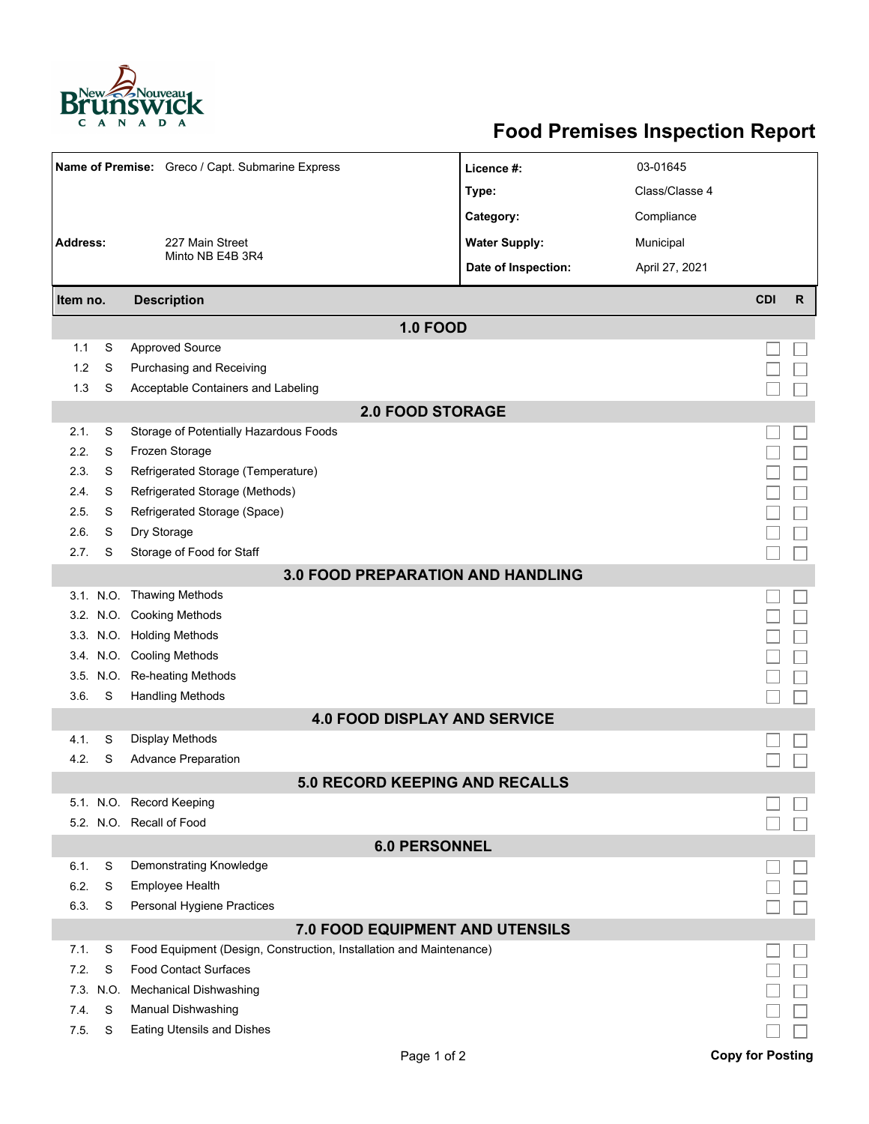

## **Food Premises Inspection Report**

| Name of Premise: Greco / Capt. Submarine Express |      |                                                                     | Licence #:           | 03-01645       |            |              |  |  |  |  |
|--------------------------------------------------|------|---------------------------------------------------------------------|----------------------|----------------|------------|--------------|--|--|--|--|
|                                                  |      |                                                                     | Type:                | Class/Classe 4 |            |              |  |  |  |  |
|                                                  |      |                                                                     | Category:            | Compliance     |            |              |  |  |  |  |
| <b>Address:</b>                                  |      | 227 Main Street                                                     | <b>Water Supply:</b> | Municipal      |            |              |  |  |  |  |
|                                                  |      | Minto NB E4B 3R4                                                    |                      |                |            |              |  |  |  |  |
|                                                  |      |                                                                     | Date of Inspection:  | April 27, 2021 |            |              |  |  |  |  |
| Item no.                                         |      | <b>Description</b>                                                  |                      |                | <b>CDI</b> | $\mathsf{R}$ |  |  |  |  |
| <b>1.0 FOOD</b>                                  |      |                                                                     |                      |                |            |              |  |  |  |  |
| 1.1                                              | S    | <b>Approved Source</b>                                              |                      |                |            |              |  |  |  |  |
| 1.2                                              | S    | Purchasing and Receiving                                            |                      |                |            |              |  |  |  |  |
| 1.3                                              | S    | Acceptable Containers and Labeling                                  |                      |                |            |              |  |  |  |  |
| <b>2.0 FOOD STORAGE</b>                          |      |                                                                     |                      |                |            |              |  |  |  |  |
| 2.1.                                             | S    | Storage of Potentially Hazardous Foods                              |                      |                |            |              |  |  |  |  |
| 2.2.                                             | S    | Frozen Storage                                                      |                      |                |            |              |  |  |  |  |
| 2.3.                                             | S    | Refrigerated Storage (Temperature)                                  |                      |                |            |              |  |  |  |  |
| 2.4.                                             | S    | Refrigerated Storage (Methods)                                      |                      |                |            |              |  |  |  |  |
| 2.5.                                             | S    | Refrigerated Storage (Space)                                        |                      |                |            |              |  |  |  |  |
| 2.6.                                             | S    | Dry Storage                                                         |                      |                |            |              |  |  |  |  |
| 2.7.                                             | S    | Storage of Food for Staff                                           |                      |                |            |              |  |  |  |  |
| 3.0 FOOD PREPARATION AND HANDLING                |      |                                                                     |                      |                |            |              |  |  |  |  |
|                                                  |      | 3.1. N.O. Thawing Methods                                           |                      |                |            |              |  |  |  |  |
|                                                  |      | 3.2. N.O. Cooking Methods                                           |                      |                |            |              |  |  |  |  |
|                                                  |      | 3.3. N.O. Holding Methods                                           |                      |                |            |              |  |  |  |  |
|                                                  |      | 3.4. N.O. Cooling Methods                                           |                      |                |            |              |  |  |  |  |
|                                                  |      | 3.5. N.O. Re-heating Methods                                        |                      |                |            |              |  |  |  |  |
| 3.6.                                             | S    | <b>Handling Methods</b>                                             |                      |                |            |              |  |  |  |  |
|                                                  |      | <b>4.0 FOOD DISPLAY AND SERVICE</b>                                 |                      |                |            |              |  |  |  |  |
| 4.1.                                             | S    | <b>Display Methods</b>                                              |                      |                |            |              |  |  |  |  |
| 4.2.                                             | S    | <b>Advance Preparation</b>                                          |                      |                |            |              |  |  |  |  |
|                                                  |      | <b>5.0 RECORD KEEPING AND RECALLS</b>                               |                      |                |            |              |  |  |  |  |
|                                                  |      | 5.1. N.O. Record Keeping                                            |                      |                |            |              |  |  |  |  |
|                                                  |      | 5.2. N.O. Recall of Food                                            |                      |                |            |              |  |  |  |  |
| <b>6.0 PERSONNEL</b>                             |      |                                                                     |                      |                |            |              |  |  |  |  |
| 6.1.                                             | S    | Demonstrating Knowledge                                             |                      |                |            |              |  |  |  |  |
| 6.2.                                             | S    | Employee Health                                                     |                      |                |            |              |  |  |  |  |
| 6.3.                                             | S    | Personal Hygiene Practices                                          |                      |                |            |              |  |  |  |  |
| <b>7.0 FOOD EQUIPMENT AND UTENSILS</b>           |      |                                                                     |                      |                |            |              |  |  |  |  |
| 7.1.                                             | S    | Food Equipment (Design, Construction, Installation and Maintenance) |                      |                |            |              |  |  |  |  |
| 7.2.                                             | S    | <b>Food Contact Surfaces</b>                                        |                      |                |            |              |  |  |  |  |
| 7.3.                                             | N.O. | <b>Mechanical Dishwashing</b>                                       |                      |                |            |              |  |  |  |  |
| 74.                                              | S    | Manual Dishwashing                                                  |                      |                |            |              |  |  |  |  |
| 7.5.                                             | S    | <b>Eating Utensils and Dishes</b>                                   |                      |                |            |              |  |  |  |  |